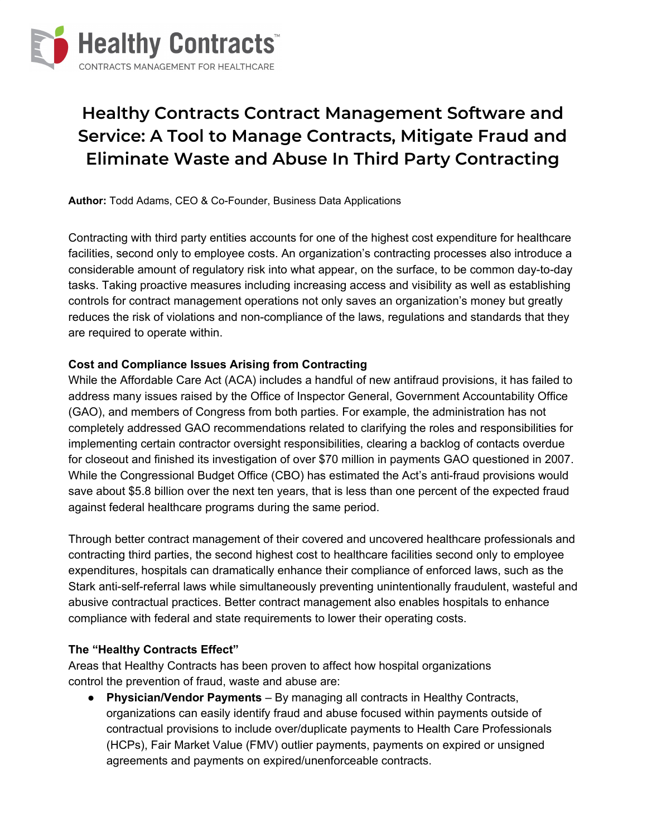

# **Healthy Contracts Contract Management Software and Service: A Tool to Manage Contracts, Mitigate Fraud and Eliminate Waste and Abuse In Third Party Contracting**

**Author:** Todd Adams, CEO & Co-Founder, Business Data Applications

Contracting with third party entities accounts for one of the highest cost expenditure for healthcare facilities, second only to employee costs. An organization's contracting processes also introduce a considerable amount of regulatory risk into what appear, on the surface, to be common day-to-day tasks. Taking proactive measures including increasing access and visibility as well as establishing controls for contract management operations not only saves an organization's money but greatly reduces the risk of violations and non-compliance of the laws, regulations and standards that they are required to operate within.

#### **Cost and Compliance Issues Arising from Contracting**

While the Affordable Care Act (ACA) includes a handful of new antifraud provisions, it has failed to address many issues raised by the Office of Inspector General, Government Accountability Office (GAO), and members of Congress from both parties. For example, the administration has not completely addressed GAO recommendations related to clarifying the roles and responsibilities for implementing certain contractor oversight responsibilities, clearing a backlog of contacts overdue for closeout and finished its investigation of over \$70 million in payments GAO questioned in 2007. While the Congressional Budget Office (CBO) has estimated the Act's anti-fraud provisions would save about \$5.8 billion over the next ten years, that is less than one percent of the expected fraud against federal healthcare programs during the same period.

Through better contract management of their covered and uncovered healthcare professionals and contracting third parties, the second highest cost to healthcare facilities second only to employee expenditures, hospitals can dramatically enhance their compliance of enforced laws, such as the Stark anti-self-referral laws while simultaneously preventing unintentionally fraudulent, wasteful and abusive contractual practices. Better contract management also enables hospitals to enhance compliance with federal and state requirements to lower their operating costs.

#### **The "Healthy Contracts Effect"**

Areas that Healthy Contracts has been proven to affect how hospital organizations control the prevention of fraud, waste and abuse are:

● **Physician/Vendor Payments** – By managing all contracts in Healthy Contracts, organizations can easily identify fraud and abuse focused within payments outside of contractual provisions to include over/duplicate payments to Health Care Professionals (HCPs), Fair Market Value (FMV) outlier payments, payments on expired or unsigned agreements and payments on expired/unenforceable contracts.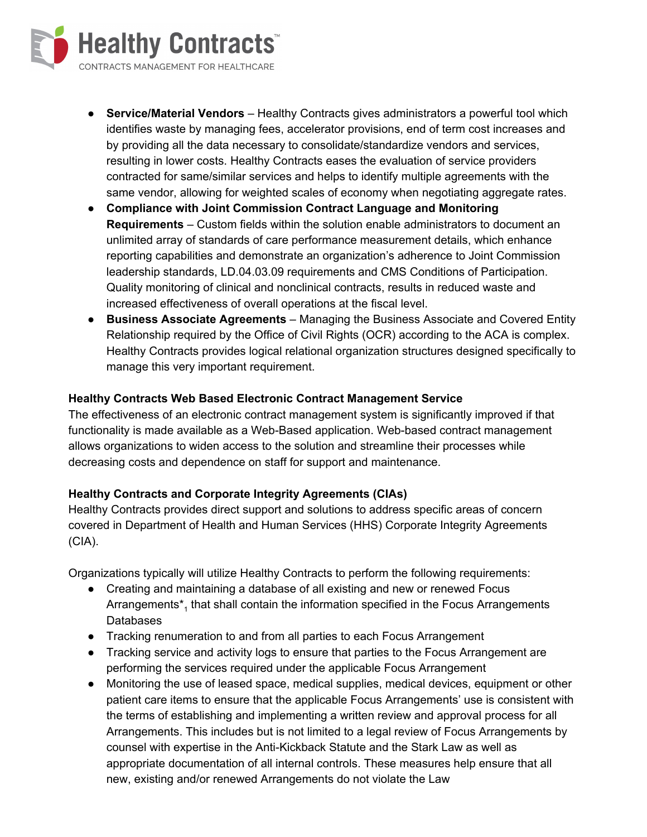

- **Service/Material Vendors** Healthy Contracts gives administrators a powerful tool which identifies waste by managing fees, accelerator provisions, end of term cost increases and by providing all the data necessary to consolidate/standardize vendors and services, resulting in lower costs. Healthy Contracts eases the evaluation of service providers contracted for same/similar services and helps to identify multiple agreements with the same vendor, allowing for weighted scales of economy when negotiating aggregate rates.
- **● Compliance with Joint Commission Contract Language and Monitoring Requirements** – Custom fields within the solution enable administrators to document an unlimited array of standards of care performance measurement details, which enhance reporting capabilities and demonstrate an organization's adherence to Joint Commission leadership standards, LD.04.03.09 requirements and CMS Conditions of Participation. Quality monitoring of clinical and nonclinical contracts, results in reduced waste and increased effectiveness of overall operations at the fiscal level.
- **● Business Associate Agreements** Managing the Business Associate and Covered Entity Relationship required by the Office of Civil Rights (OCR) according to the ACA is complex. Healthy Contracts provides logical relational organization structures designed specifically to manage this very important requirement.

## **Healthy Contracts Web Based Electronic Contract Management Service**

The effectiveness of an electronic contract management system is significantly improved if that functionality is made available as a Web-Based application. Web-based contract management allows organizations to widen access to the solution and streamline their processes while decreasing costs and dependence on staff for support and maintenance.

## **Healthy Contracts and Corporate Integrity Agreements (CIAs)**

Healthy Contracts provides direct support and solutions to address specific areas of concern covered in Department of Health and Human Services (HHS) Corporate Integrity Agreements (CIA).

Organizations typically will utilize Healthy Contracts to perform the following requirements:

- Creating and maintaining a database of all existing and new or renewed Focus Arrangements<sup>\*</sup><sub>1</sub> that shall contain the information specified in the Focus Arrangements Databases
- Tracking renumeration to and from all parties to each Focus Arrangement
- Tracking service and activity logs to ensure that parties to the Focus Arrangement are performing the services required under the applicable Focus Arrangement
- Monitoring the use of leased space, medical supplies, medical devices, equipment or other patient care items to ensure that the applicable Focus Arrangements' use is consistent with the terms of establishing and implementing a written review and approval process for all Arrangements. This includes but is not limited to a legal review of Focus Arrangements by counsel with expertise in the Anti-Kickback Statute and the Stark Law as well as appropriate documentation of all internal controls. These measures help ensure that all new, existing and/or renewed Arrangements do not violate the Law